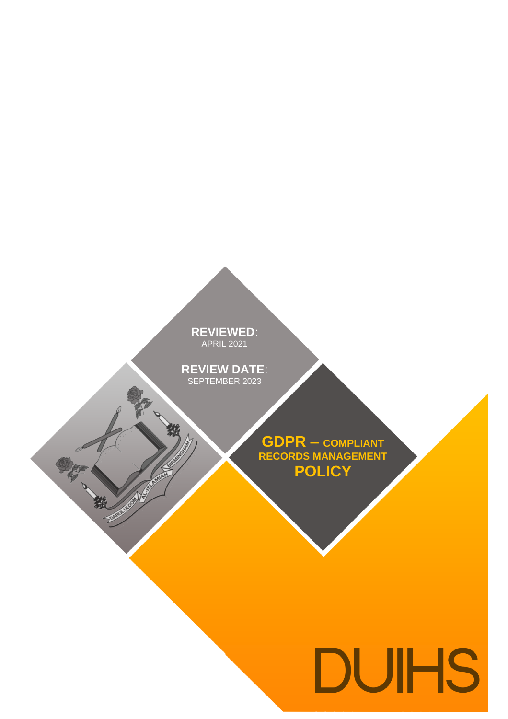#### **REVIEWED**: APRIL 2021 **REVIEWED**: APRIL 2021

**REVIEW DATE**: **REVIEW DATE**: SEPTEMBER 2023

RE

一般

**ENVIRONMENT** 

**GDPR – COMPLIANT RECORDS MANAGEMENT POLICY**

# DUIHS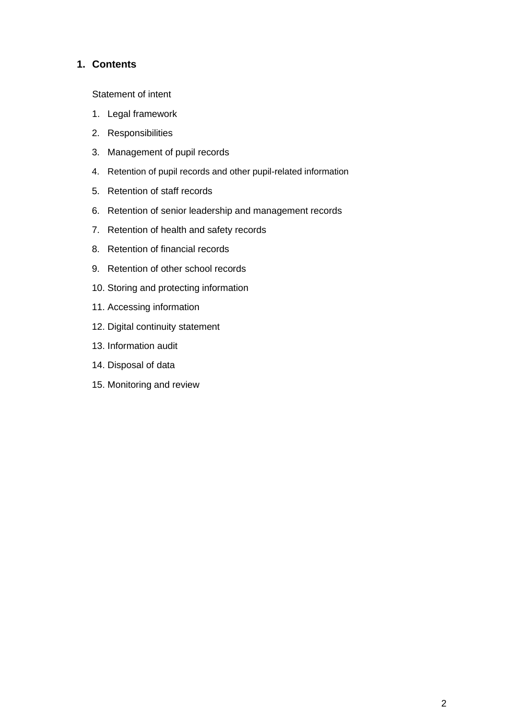#### **1. Contents**

Statement of intent

- 1. Legal framework
- 2. Responsibilities
- 3. Management of pupil records
- 4. Retention of pupil records and other pupil-related information
- 5. Retention of staff records
- 6. Retention of senior leadership and management records
- 7. Retention of health and safety records
- 8. Retention of financial records
- 9. Retention of other school records
- 10. Storing and protecting information
- 11. Accessing information
- 12. Digital continuity statement
- 13. Information audit
- 14. Disposal of data
- 15. Monitoring and review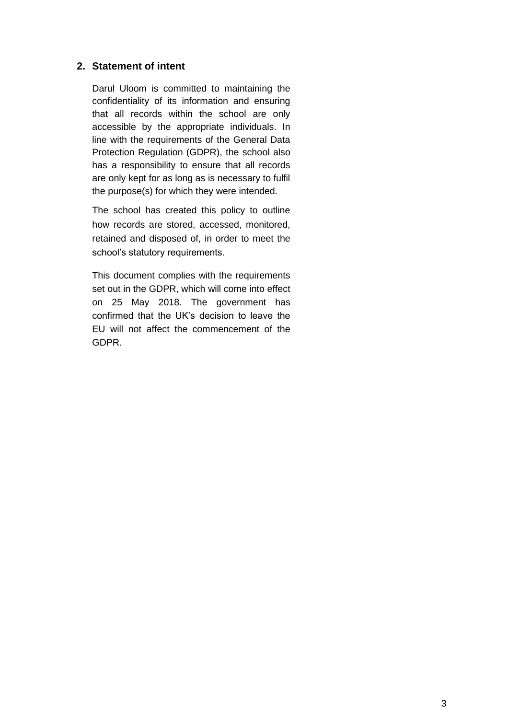#### **2. Statement of intent**

Darul Uloom is committed to maintaining the confidentiality of its information and ensuring that all records within the school are only accessible by the appropriate individuals. In line with the requirements of the General Data Protection Regulation (GDPR), the school also has a responsibility to ensure that all records are only kept for as long as is necessary to fulfil the purpose(s) for which they were intended.

The school has created this policy to outline how records are stored, accessed, monitored, retained and disposed of, in order to meet the school's statutory requirements.

This document complies with the requirements set out in the GDPR, which will come into effect on 25 May 2018. The government has confirmed that the UK's decision to leave the EU will not affect the commencement of the GDPR.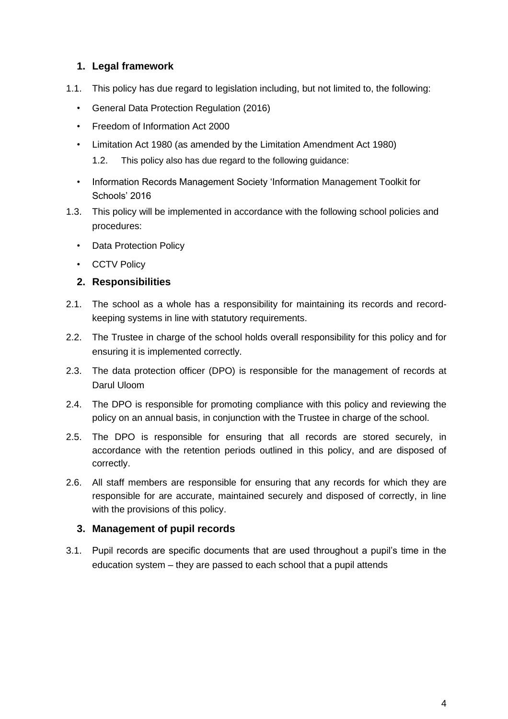#### **1. Legal framework**

- 1.1. This policy has due regard to legislation including, but not limited to, the following:
	- General Data Protection Regulation (2016)
	- Freedom of Information Act 2000
	- Limitation Act 1980 (as amended by the Limitation Amendment Act 1980)
		- 1.2. This policy also has due regard to the following guidance:
	- Information Records Management Society 'Information Management Toolkit for Schools' 2016
- 1.3. This policy will be implemented in accordance with the following school policies and procedures:
	- Data Protection Policy
	- CCTV Policy

#### **2. Responsibilities**

- 2.1. The school as a whole has a responsibility for maintaining its records and recordkeeping systems in line with statutory requirements.
- 2.2. The Trustee in charge of the school holds overall responsibility for this policy and for ensuring it is implemented correctly.
- 2.3. The data protection officer (DPO) is responsible for the management of records at Darul Uloom
- 2.4. The DPO is responsible for promoting compliance with this policy and reviewing the policy on an annual basis, in conjunction with the Trustee in charge of the school.
- 2.5. The DPO is responsible for ensuring that all records are stored securely, in accordance with the retention periods outlined in this policy, and are disposed of correctly.
- 2.6. All staff members are responsible for ensuring that any records for which they are responsible for are accurate, maintained securely and disposed of correctly, in line with the provisions of this policy.

#### **3. Management of pupil records**

3.1. Pupil records are specific documents that are used throughout a pupil's time in the education system – they are passed to each school that a pupil attends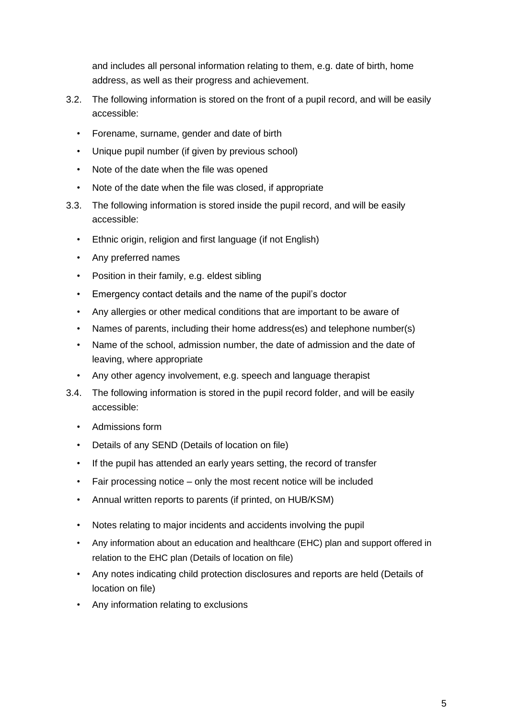and includes all personal information relating to them, e.g. date of birth, home address, as well as their progress and achievement.

- 3.2. The following information is stored on the front of a pupil record, and will be easily accessible:
	- Forename, surname, gender and date of birth
	- Unique pupil number (if given by previous school)
	- Note of the date when the file was opened
	- Note of the date when the file was closed, if appropriate
- 3.3. The following information is stored inside the pupil record, and will be easily accessible:
	- Ethnic origin, religion and first language (if not English)
	- Any preferred names
	- Position in their family, e.g. eldest sibling
	- Emergency contact details and the name of the pupil's doctor
	- Any allergies or other medical conditions that are important to be aware of
	- Names of parents, including their home address(es) and telephone number(s)
	- Name of the school, admission number, the date of admission and the date of leaving, where appropriate
	- Any other agency involvement, e.g. speech and language therapist
- 3.4. The following information is stored in the pupil record folder, and will be easily accessible:
	- Admissions form
	- Details of any SEND (Details of location on file)
	- If the pupil has attended an early years setting, the record of transfer
	- Fair processing notice only the most recent notice will be included
	- Annual written reports to parents (if printed, on HUB/KSM)
	- Notes relating to major incidents and accidents involving the pupil
	- Any information about an education and healthcare (EHC) plan and support offered in relation to the EHC plan (Details of location on file)
	- Any notes indicating child protection disclosures and reports are held (Details of location on file)
	- Any information relating to exclusions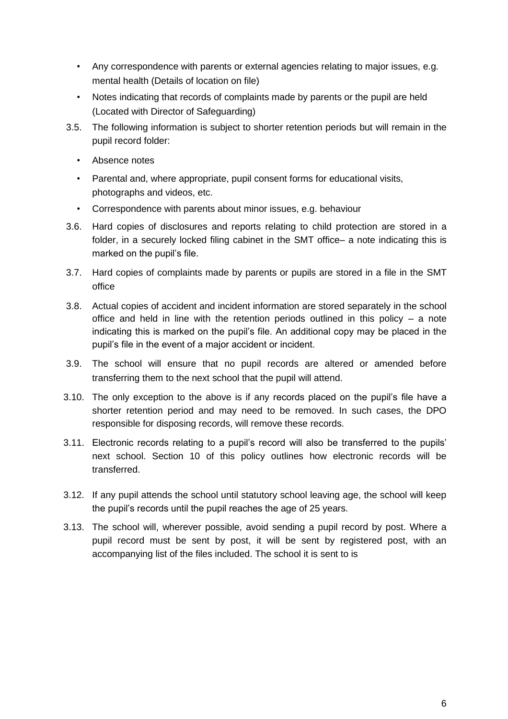- Any correspondence with parents or external agencies relating to major issues, e.g. mental health (Details of location on file)
- Notes indicating that records of complaints made by parents or the pupil are held (Located with Director of Safeguarding)
- 3.5. The following information is subject to shorter retention periods but will remain in the pupil record folder:
	- Absence notes
	- Parental and, where appropriate, pupil consent forms for educational visits, photographs and videos, etc.
	- Correspondence with parents about minor issues, e.g. behaviour
- 3.6. Hard copies of disclosures and reports relating to child protection are stored in a folder, in a securely locked filing cabinet in the SMT office– a note indicating this is marked on the pupil's file.
- 3.7. Hard copies of complaints made by parents or pupils are stored in a file in the SMT office
- 3.8. Actual copies of accident and incident information are stored separately in the school office and held in line with the retention periods outlined in this policy  $-$  a note indicating this is marked on the pupil's file. An additional copy may be placed in the pupil's file in the event of a major accident or incident.
- 3.9. The school will ensure that no pupil records are altered or amended before transferring them to the next school that the pupil will attend.
- 3.10. The only exception to the above is if any records placed on the pupil's file have a shorter retention period and may need to be removed. In such cases, the DPO responsible for disposing records, will remove these records.
- 3.11. Electronic records relating to a pupil's record will also be transferred to the pupils' next school. Section 10 of this policy outlines how electronic records will be transferred.
- 3.12. If any pupil attends the school until statutory school leaving age, the school will keep the pupil's records until the pupil reaches the age of 25 years.
- 3.13. The school will, wherever possible, avoid sending a pupil record by post. Where a pupil record must be sent by post, it will be sent by registered post, with an accompanying list of the files included. The school it is sent to is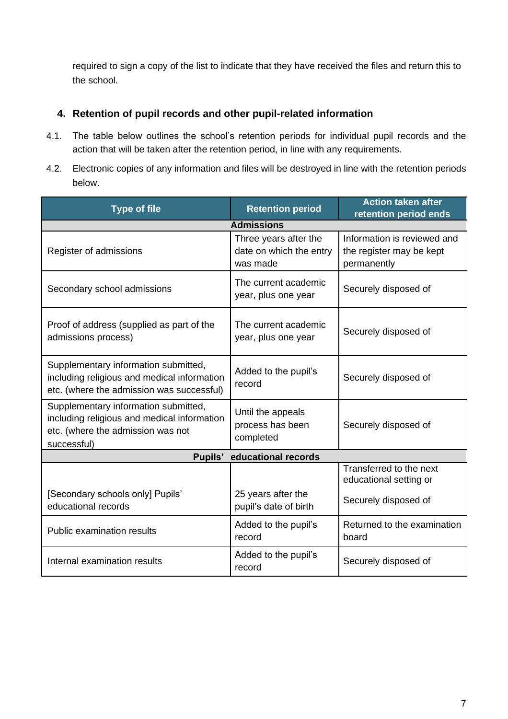required to sign a copy of the list to indicate that they have received the files and return this to the school.

#### **4. Retention of pupil records and other pupil-related information**

- 4.1. The table below outlines the school's retention periods for individual pupil records and the action that will be taken after the retention period, in line with any requirements.
- 4.2. Electronic copies of any information and files will be destroyed in line with the retention periods below.

| <b>Type of file</b>                                                                                                                     | <b>Retention period</b>                                      | <b>Action taken after</b><br>retention period ends                        |
|-----------------------------------------------------------------------------------------------------------------------------------------|--------------------------------------------------------------|---------------------------------------------------------------------------|
|                                                                                                                                         | <b>Admissions</b>                                            |                                                                           |
| Register of admissions                                                                                                                  | Three years after the<br>date on which the entry<br>was made | Information is reviewed and<br>the register may be kept<br>permanently    |
| Secondary school admissions                                                                                                             | The current academic<br>year, plus one year                  | Securely disposed of                                                      |
| Proof of address (supplied as part of the<br>admissions process)                                                                        | The current academic<br>year, plus one year                  | Securely disposed of                                                      |
| Supplementary information submitted,<br>including religious and medical information<br>etc. (where the admission was successful)        | Added to the pupil's<br>record                               | Securely disposed of                                                      |
| Supplementary information submitted,<br>including religious and medical information<br>etc. (where the admission was not<br>successful) | Until the appeals<br>process has been<br>completed           | Securely disposed of                                                      |
| Pupils'<br>educational records                                                                                                          |                                                              |                                                                           |
| [Secondary schools only] Pupils'                                                                                                        | 25 years after the                                           | Transferred to the next<br>educational setting or<br>Securely disposed of |
| educational records                                                                                                                     | pupil's date of birth                                        |                                                                           |
| <b>Public examination results</b>                                                                                                       | Added to the pupil's<br>record                               | Returned to the examination<br>board                                      |
| Internal examination results                                                                                                            | Added to the pupil's<br>record                               | Securely disposed of                                                      |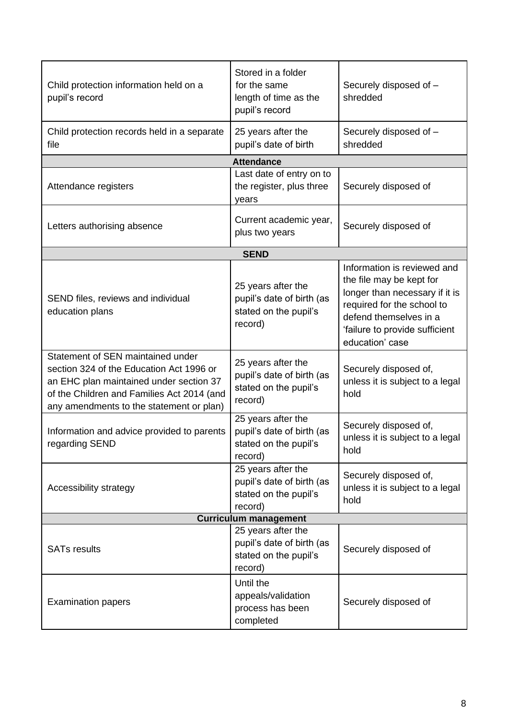| Child protection information held on a<br>pupil's record                                                                                                                                                           | Stored in a folder<br>for the same<br>length of time as the<br>pupil's record       | Securely disposed of -<br>shredded                                                                                                                                                                     |
|--------------------------------------------------------------------------------------------------------------------------------------------------------------------------------------------------------------------|-------------------------------------------------------------------------------------|--------------------------------------------------------------------------------------------------------------------------------------------------------------------------------------------------------|
| Child protection records held in a separate<br>file                                                                                                                                                                | 25 years after the<br>pupil's date of birth                                         | Securely disposed of -<br>shredded                                                                                                                                                                     |
|                                                                                                                                                                                                                    | <b>Attendance</b>                                                                   |                                                                                                                                                                                                        |
| Attendance registers                                                                                                                                                                                               | Last date of entry on to<br>the register, plus three<br>years                       | Securely disposed of                                                                                                                                                                                   |
| Letters authorising absence                                                                                                                                                                                        | Current academic year,<br>plus two years                                            | Securely disposed of                                                                                                                                                                                   |
|                                                                                                                                                                                                                    | <b>SEND</b>                                                                         |                                                                                                                                                                                                        |
| SEND files, reviews and individual<br>education plans                                                                                                                                                              | 25 years after the<br>pupil's date of birth (as<br>stated on the pupil's<br>record) | Information is reviewed and<br>the file may be kept for<br>longer than necessary if it is<br>required for the school to<br>defend themselves in a<br>'failure to provide sufficient<br>education' case |
| Statement of SEN maintained under<br>section 324 of the Education Act 1996 or<br>an EHC plan maintained under section 37<br>of the Children and Families Act 2014 (and<br>any amendments to the statement or plan) | 25 years after the<br>pupil's date of birth (as<br>stated on the pupil's<br>record) | Securely disposed of,<br>unless it is subject to a legal<br>hold                                                                                                                                       |
| Information and advice provided to parents<br>regarding SEND                                                                                                                                                       | 25 years after the<br>pupil's date of birth (as<br>stated on the pupil's<br>record) | Securely disposed of,<br>unless it is subject to a legal<br>hold                                                                                                                                       |
| Accessibility strategy                                                                                                                                                                                             | 25 years after the<br>pupil's date of birth (as<br>stated on the pupil's<br>record) | Securely disposed of,<br>unless it is subject to a legal<br>hold                                                                                                                                       |
|                                                                                                                                                                                                                    | <b>Curriculum management</b>                                                        |                                                                                                                                                                                                        |
| <b>SATs results</b>                                                                                                                                                                                                | 25 years after the<br>pupil's date of birth (as<br>stated on the pupil's<br>record) | Securely disposed of                                                                                                                                                                                   |
| <b>Examination papers</b>                                                                                                                                                                                          | Until the<br>appeals/validation<br>process has been<br>completed                    | Securely disposed of                                                                                                                                                                                   |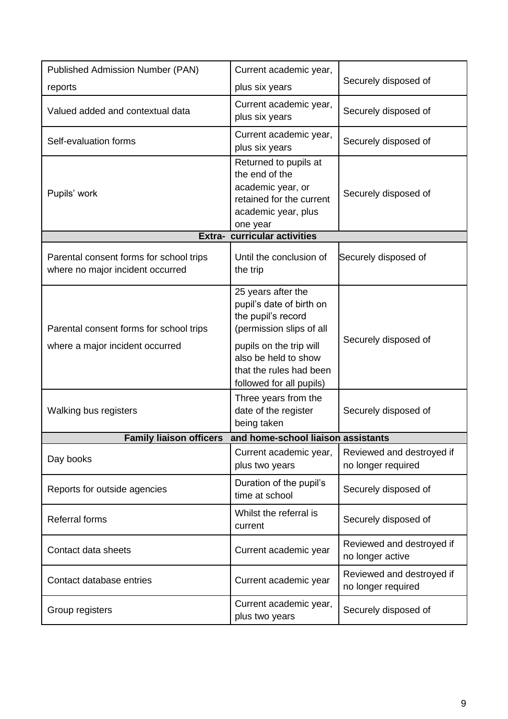| <b>Published Admission Number (PAN)</b>                                     | Current academic year,                                                                                                                                                                                     |                                                 |
|-----------------------------------------------------------------------------|------------------------------------------------------------------------------------------------------------------------------------------------------------------------------------------------------------|-------------------------------------------------|
| reports                                                                     | plus six years                                                                                                                                                                                             | Securely disposed of                            |
| Valued added and contextual data                                            | Current academic year,<br>plus six years                                                                                                                                                                   | Securely disposed of                            |
| Self-evaluation forms                                                       | Current academic year,<br>plus six years                                                                                                                                                                   | Securely disposed of                            |
| Pupils' work                                                                | Returned to pupils at<br>the end of the<br>academic year, or<br>retained for the current<br>academic year, plus<br>one year                                                                                | Securely disposed of                            |
|                                                                             | Extra- curricular activities                                                                                                                                                                               |                                                 |
| Parental consent forms for school trips<br>where no major incident occurred | Until the conclusion of<br>the trip                                                                                                                                                                        | Securely disposed of                            |
| Parental consent forms for school trips<br>where a major incident occurred  | 25 years after the<br>pupil's date of birth on<br>the pupil's record<br>(permission slips of all<br>pupils on the trip will<br>also be held to show<br>that the rules had been<br>followed for all pupils) | Securely disposed of                            |
| Walking bus registers                                                       | Three years from the<br>date of the register<br>being taken                                                                                                                                                | Securely disposed of                            |
| <b>Family liaison officers</b>                                              | and home-school liaison assistants                                                                                                                                                                         |                                                 |
| Day books                                                                   | Current academic year,<br>plus two years                                                                                                                                                                   | Reviewed and destroyed if<br>no longer required |
| Reports for outside agencies                                                | Duration of the pupil's<br>time at school                                                                                                                                                                  | Securely disposed of                            |
| <b>Referral forms</b>                                                       | Whilst the referral is<br>current                                                                                                                                                                          | Securely disposed of                            |
| Contact data sheets                                                         | Current academic year                                                                                                                                                                                      | Reviewed and destroyed if<br>no longer active   |
| Contact database entries                                                    | Current academic year                                                                                                                                                                                      | Reviewed and destroyed if<br>no longer required |
| Group registers                                                             | Current academic year,<br>plus two years                                                                                                                                                                   | Securely disposed of                            |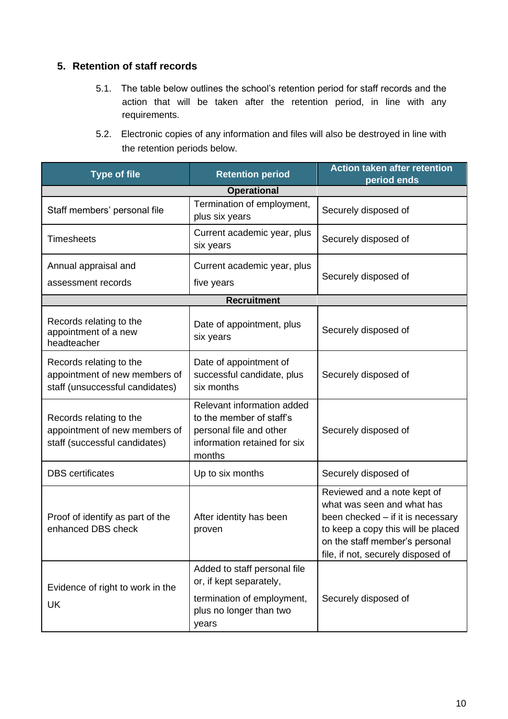#### **5. Retention of staff records**

- 5.1. The table below outlines the school's retention period for staff records and the action that will be taken after the retention period, in line with any requirements.
- 5.2. Electronic copies of any information and files will also be destroyed in line with the retention periods below.

| <b>Type of file</b>                                                                         | <b>Retention period</b>                                                                                                     | <b>Action taken after retention</b><br>period ends                                                                                                                                                           |
|---------------------------------------------------------------------------------------------|-----------------------------------------------------------------------------------------------------------------------------|--------------------------------------------------------------------------------------------------------------------------------------------------------------------------------------------------------------|
|                                                                                             | <b>Operational</b>                                                                                                          |                                                                                                                                                                                                              |
| Staff members' personal file                                                                | Termination of employment,<br>plus six years                                                                                | Securely disposed of                                                                                                                                                                                         |
| <b>Timesheets</b>                                                                           | Current academic year, plus<br>six years                                                                                    | Securely disposed of                                                                                                                                                                                         |
| Annual appraisal and                                                                        | Current academic year, plus                                                                                                 | Securely disposed of                                                                                                                                                                                         |
| assessment records                                                                          | five years                                                                                                                  |                                                                                                                                                                                                              |
|                                                                                             | <b>Recruitment</b>                                                                                                          |                                                                                                                                                                                                              |
| Records relating to the<br>appointment of a new<br>headteacher                              | Date of appointment, plus<br>six years                                                                                      | Securely disposed of                                                                                                                                                                                         |
| Records relating to the<br>appointment of new members of<br>staff (unsuccessful candidates) | Date of appointment of<br>successful candidate, plus<br>six months                                                          | Securely disposed of                                                                                                                                                                                         |
| Records relating to the<br>appointment of new members of<br>staff (successful candidates)   | Relevant information added<br>to the member of staff's<br>personal file and other<br>information retained for six<br>months | Securely disposed of                                                                                                                                                                                         |
| <b>DBS</b> certificates                                                                     | Up to six months                                                                                                            | Securely disposed of                                                                                                                                                                                         |
| Proof of identify as part of the<br>enhanced DBS check                                      | After identity has been<br>proven                                                                                           | Reviewed and a note kept of<br>what was seen and what has<br>been checked - if it is necessary<br>to keep a copy this will be placed<br>on the staff member's personal<br>file, if not, securely disposed of |
| Evidence of right to work in the<br>UK                                                      | Added to staff personal file<br>or, if kept separately,<br>termination of employment,<br>plus no longer than two<br>years   | Securely disposed of                                                                                                                                                                                         |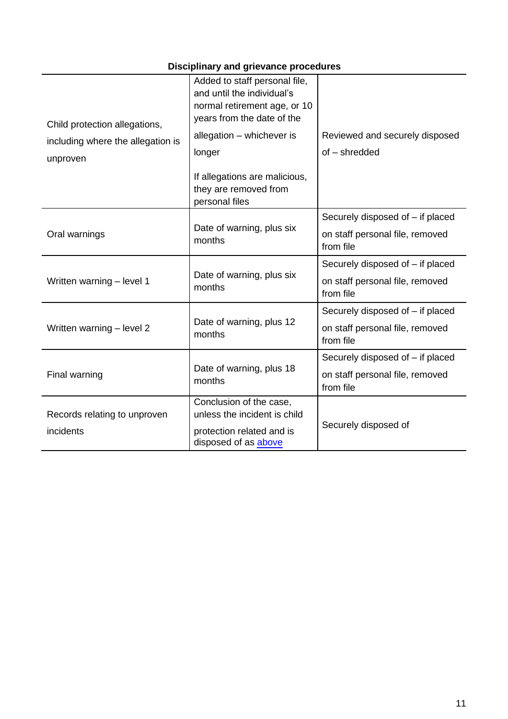## **Disciplinary and grievance procedures**

| Child protection allegations,     | Added to staff personal file,<br>and until the individual's<br>normal retirement age, or 10<br>years from the date of the |                                              |
|-----------------------------------|---------------------------------------------------------------------------------------------------------------------------|----------------------------------------------|
| including where the allegation is | allegation - whichever is                                                                                                 | Reviewed and securely disposed               |
| unproven                          | longer                                                                                                                    | of - shredded                                |
|                                   | If allegations are malicious,<br>they are removed from<br>personal files                                                  |                                              |
|                                   |                                                                                                                           | Securely disposed of - if placed             |
| Oral warnings                     | Date of warning, plus six<br>months                                                                                       | on staff personal file, removed<br>from file |
|                                   |                                                                                                                           | Securely disposed of - if placed             |
| Written warning - level 1         | Date of warning, plus six<br>months                                                                                       | on staff personal file, removed<br>from file |
|                                   |                                                                                                                           | Securely disposed of - if placed             |
| Written warning - level 2         | Date of warning, plus 12<br>months                                                                                        | on staff personal file, removed<br>from file |
|                                   |                                                                                                                           | Securely disposed of – if placed             |
| Final warning                     | Date of warning, plus 18<br>months                                                                                        | on staff personal file, removed<br>from file |
|                                   | Conclusion of the case,                                                                                                   |                                              |
| Records relating to unproven      | unless the incident is child                                                                                              | Securely disposed of                         |
| incidents                         | protection related and is<br>disposed of as above                                                                         |                                              |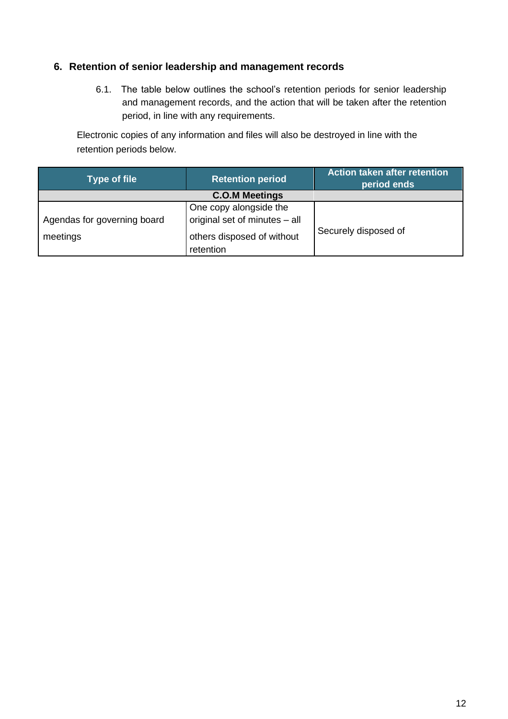#### **6. Retention of senior leadership and management records**

6.1. The table below outlines the school's retention periods for senior leadership and management records, and the action that will be taken after the retention period, in line with any requirements.

Electronic copies of any information and files will also be destroyed in line with the retention periods below.

| <b>Type of file</b>                     | <b>Retention period</b>                                                                            | <b>Action taken after retention</b><br>period ends |
|-----------------------------------------|----------------------------------------------------------------------------------------------------|----------------------------------------------------|
|                                         | <b>C.O.M Meetings</b>                                                                              |                                                    |
| Agendas for governing board<br>meetings | One copy alongside the<br>original set of minutes - all<br>others disposed of without<br>retention | Securely disposed of                               |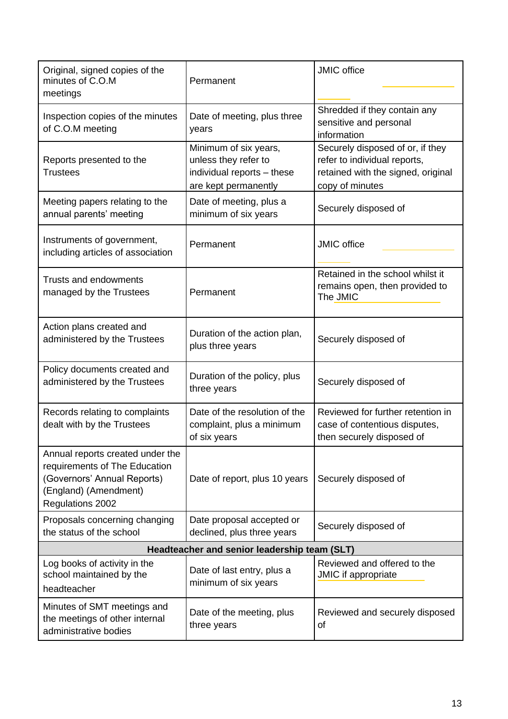| Original, signed copies of the<br>minutes of C.O.M<br>meetings                                                                                | Permanent                                                                                           | <b>JMIC</b> office                                                                                                        |  |
|-----------------------------------------------------------------------------------------------------------------------------------------------|-----------------------------------------------------------------------------------------------------|---------------------------------------------------------------------------------------------------------------------------|--|
| Inspection copies of the minutes<br>of C.O.M meeting                                                                                          | Date of meeting, plus three<br>years                                                                | Shredded if they contain any<br>sensitive and personal<br>information                                                     |  |
| Reports presented to the<br><b>Trustees</b>                                                                                                   | Minimum of six years,<br>unless they refer to<br>individual reports - these<br>are kept permanently | Securely disposed of or, if they<br>refer to individual reports,<br>retained with the signed, original<br>copy of minutes |  |
| Meeting papers relating to the<br>annual parents' meeting                                                                                     | Date of meeting, plus a<br>minimum of six years                                                     | Securely disposed of                                                                                                      |  |
| Instruments of government,<br>including articles of association                                                                               | Permanent                                                                                           | <b>JMIC</b> office                                                                                                        |  |
| Trusts and endowments<br>managed by the Trustees                                                                                              | Permanent                                                                                           | Retained in the school whilst it<br>remains open, then provided to<br>The JMIC                                            |  |
| Action plans created and<br>administered by the Trustees                                                                                      | Duration of the action plan,<br>plus three years                                                    | Securely disposed of                                                                                                      |  |
| Policy documents created and<br>administered by the Trustees                                                                                  | Duration of the policy, plus<br>three years                                                         | Securely disposed of                                                                                                      |  |
| Records relating to complaints<br>dealt with by the Trustees                                                                                  | Date of the resolution of the<br>complaint, plus a minimum<br>of six years                          | Reviewed for further retention in<br>case of contentious disputes,<br>then securely disposed of                           |  |
| Annual reports created under the<br>requirements of The Education<br>(Governors' Annual Reports)<br>(England) (Amendment)<br>Regulations 2002 | Date of report, plus 10 years                                                                       | Securely disposed of                                                                                                      |  |
| Proposals concerning changing<br>the status of the school                                                                                     | Date proposal accepted or<br>declined, plus three years                                             | Securely disposed of                                                                                                      |  |
| Headteacher and senior leadership team (SLT)                                                                                                  |                                                                                                     |                                                                                                                           |  |
| Log books of activity in the<br>school maintained by the<br>headteacher                                                                       | Date of last entry, plus a<br>minimum of six years                                                  | Reviewed and offered to the<br>JMIC if appropriate                                                                        |  |
| Minutes of SMT meetings and<br>the meetings of other internal<br>administrative bodies                                                        | Date of the meeting, plus<br>three years                                                            | Reviewed and securely disposed<br>οf                                                                                      |  |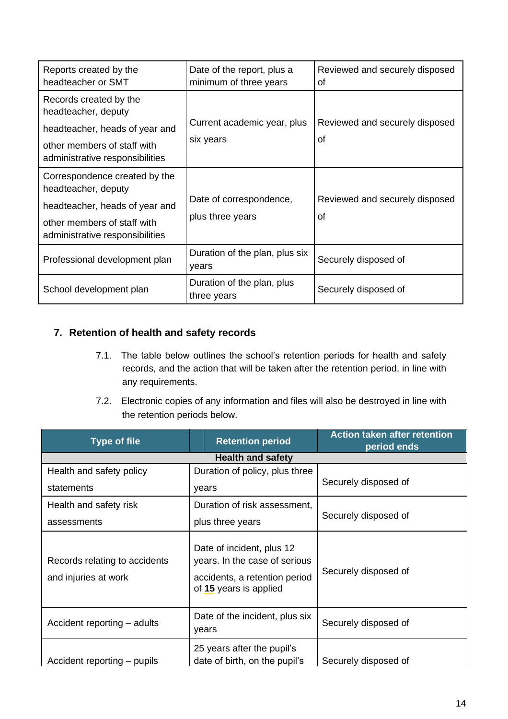| Reports created by the<br>headteacher or SMT                                                                                                             | Date of the report, plus a<br>minimum of three years | Reviewed and securely disposed<br>Ωf |
|----------------------------------------------------------------------------------------------------------------------------------------------------------|------------------------------------------------------|--------------------------------------|
| Records created by the<br>headteacher, deputy<br>headteacher, heads of year and<br>other members of staff with<br>administrative responsibilities        | Current academic year, plus<br>six years             | Reviewed and securely disposed<br>οf |
| Correspondence created by the<br>headteacher, deputy<br>headteacher, heads of year and<br>other members of staff with<br>administrative responsibilities | Date of correspondence,<br>plus three years          | Reviewed and securely disposed<br>οf |
| Professional development plan                                                                                                                            | Duration of the plan, plus six<br>years              | Securely disposed of                 |
| School development plan                                                                                                                                  | Duration of the plan, plus<br>three years            | Securely disposed of                 |

### **7. Retention of health and safety records**

- 7.1. The table below outlines the school's retention periods for health and safety records, and the action that will be taken after the retention period, in line with any requirements.
- 7.2. Electronic copies of any information and files will also be destroyed in line with the retention periods below.

| <b>Type of file</b>                                   | <b>Retention period</b>                                                                                               | <b>Action taken after retention</b><br>period ends |
|-------------------------------------------------------|-----------------------------------------------------------------------------------------------------------------------|----------------------------------------------------|
|                                                       | <b>Health and safety</b>                                                                                              |                                                    |
| Health and safety policy                              | Duration of policy, plus three                                                                                        |                                                    |
| statements                                            | years                                                                                                                 | Securely disposed of                               |
| Health and safety risk                                | Duration of risk assessment,                                                                                          |                                                    |
| assessments                                           | plus three years                                                                                                      | Securely disposed of                               |
| Records relating to accidents<br>and injuries at work | Date of incident, plus 12<br>years. In the case of serious<br>accidents, a retention period<br>of 15 years is applied | Securely disposed of                               |
| Accident reporting – adults                           | Date of the incident, plus six<br>years                                                                               | Securely disposed of                               |
| Accident reporting – pupils                           | 25 years after the pupil's<br>date of birth, on the pupil's                                                           | Securely disposed of                               |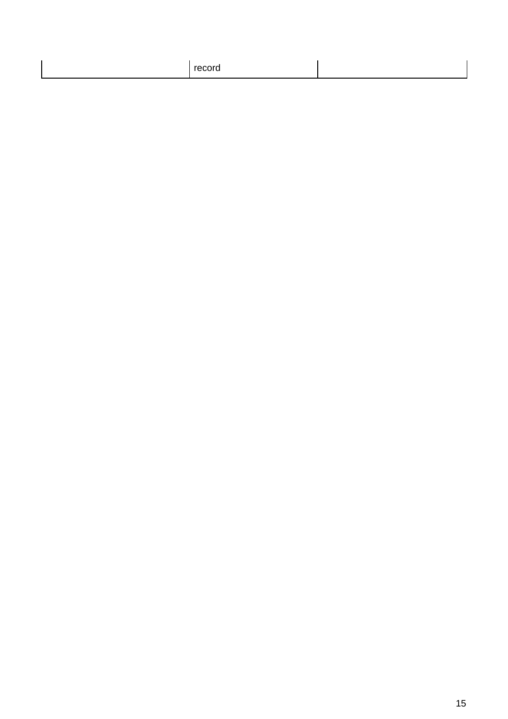| record |  |
|--------|--|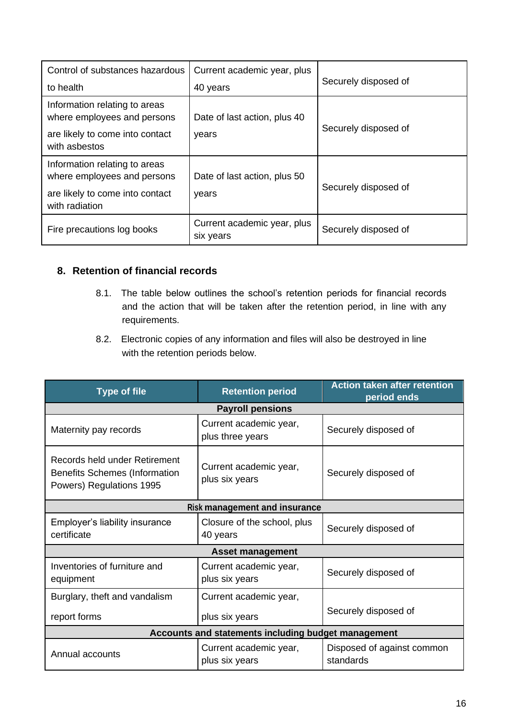| Control of substances hazardous                                                                                   | Current academic year, plus              |                      |
|-------------------------------------------------------------------------------------------------------------------|------------------------------------------|----------------------|
| to health                                                                                                         | 40 years                                 | Securely disposed of |
| Information relating to areas<br>where employees and persons                                                      | Date of last action, plus 40             | Securely disposed of |
| are likely to come into contact<br>with asbestos                                                                  | years                                    |                      |
| Information relating to areas<br>where employees and persons<br>are likely to come into contact<br>with radiation | Date of last action, plus 50<br>years    | Securely disposed of |
| Fire precautions log books                                                                                        | Current academic year, plus<br>six years | Securely disposed of |

#### **8. Retention of financial records**

- 8.1. The table below outlines the school's retention periods for financial records and the action that will be taken after the retention period, in line with any requirements.
- 8.2. Electronic copies of any information and files will also be destroyed in line with the retention periods below.

| <b>Type of file</b>                                                                               | <b>Retention period</b>                    | <b>Action taken after retention</b><br>period ends |
|---------------------------------------------------------------------------------------------------|--------------------------------------------|----------------------------------------------------|
|                                                                                                   | <b>Payroll pensions</b>                    |                                                    |
| Maternity pay records                                                                             | Current academic year,<br>plus three years | Securely disposed of                               |
| Records held under Retirement<br><b>Benefits Schemes (Information</b><br>Powers) Regulations 1995 | Current academic year,<br>plus six years   | Securely disposed of                               |
|                                                                                                   | <b>Risk management and insurance</b>       |                                                    |
| Employer's liability insurance<br>certificate                                                     | Closure of the school, plus<br>40 years    | Securely disposed of                               |
|                                                                                                   | <b>Asset management</b>                    |                                                    |
| Inventories of furniture and<br>equipment                                                         | Current academic year,<br>plus six years   | Securely disposed of                               |
| Burglary, theft and vandalism                                                                     | Current academic year,                     |                                                    |
| report forms                                                                                      | plus six years                             | Securely disposed of                               |
| Accounts and statements including budget management                                               |                                            |                                                    |
| Annual accounts                                                                                   | Current academic year,<br>plus six years   | Disposed of against common<br>standards            |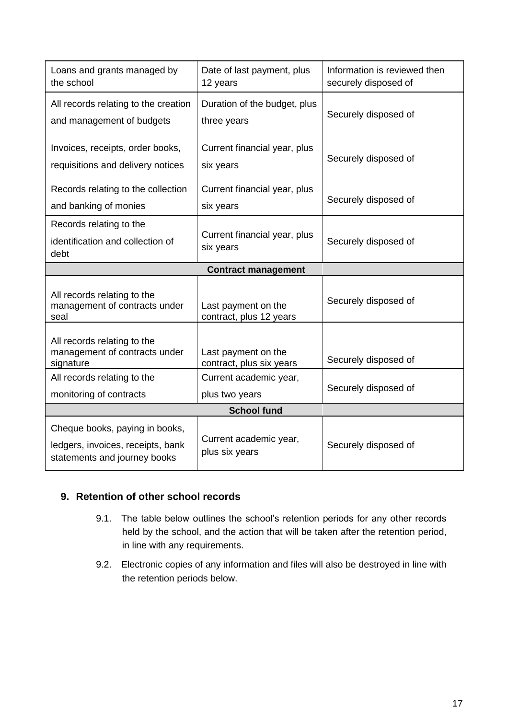| Loans and grants managed by<br>the school                                                           | Date of last payment, plus<br>12 years          | Information is reviewed then<br>securely disposed of |  |
|-----------------------------------------------------------------------------------------------------|-------------------------------------------------|------------------------------------------------------|--|
| All records relating to the creation<br>and management of budgets                                   | Duration of the budget, plus<br>three years     | Securely disposed of                                 |  |
| Invoices, receipts, order books,<br>requisitions and delivery notices                               | Current financial year, plus<br>six years       | Securely disposed of                                 |  |
| Records relating to the collection<br>and banking of monies                                         | Current financial year, plus<br>six years       | Securely disposed of                                 |  |
| Records relating to the<br>identification and collection of<br>debt                                 | Current financial year, plus<br>six years       | Securely disposed of                                 |  |
| <b>Contract management</b>                                                                          |                                                 |                                                      |  |
| All records relating to the<br>management of contracts under<br>seal                                | Last payment on the<br>contract, plus 12 years  | Securely disposed of                                 |  |
| All records relating to the<br>management of contracts under<br>signature                           | Last payment on the<br>contract, plus six years | Securely disposed of                                 |  |
| All records relating to the                                                                         | Current academic year,                          | Securely disposed of                                 |  |
| monitoring of contracts                                                                             | plus two years                                  |                                                      |  |
| <b>School fund</b>                                                                                  |                                                 |                                                      |  |
| Cheque books, paying in books,<br>ledgers, invoices, receipts, bank<br>statements and journey books | Current academic year,<br>plus six years        | Securely disposed of                                 |  |

#### **9. Retention of other school records**

- 9.1. The table below outlines the school's retention periods for any other records held by the school, and the action that will be taken after the retention period, in line with any requirements.
- 9.2. Electronic copies of any information and files will also be destroyed in line with the retention periods below.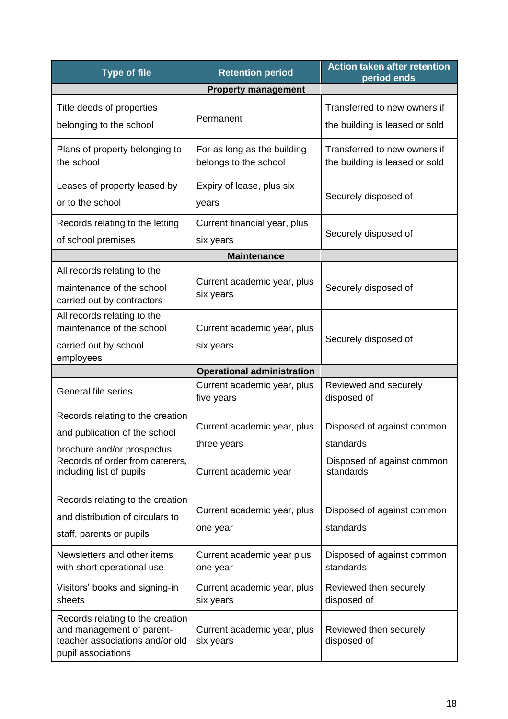| <b>Type of file</b>                                                                                                    | <b>Retention period</b>                              | <b>Action taken after retention</b><br>period ends             |  |
|------------------------------------------------------------------------------------------------------------------------|------------------------------------------------------|----------------------------------------------------------------|--|
| <b>Property management</b>                                                                                             |                                                      |                                                                |  |
| Title deeds of properties<br>belonging to the school                                                                   | Permanent                                            | Transferred to new owners if<br>the building is leased or sold |  |
| Plans of property belonging to<br>the school                                                                           | For as long as the building<br>belongs to the school | Transferred to new owners if<br>the building is leased or sold |  |
| Leases of property leased by<br>or to the school                                                                       | Expiry of lease, plus six<br>years                   | Securely disposed of                                           |  |
| Records relating to the letting<br>of school premises                                                                  | Current financial year, plus<br>six years            | Securely disposed of                                           |  |
| <b>Maintenance</b>                                                                                                     |                                                      |                                                                |  |
| All records relating to the<br>maintenance of the school<br>carried out by contractors                                 | Current academic year, plus<br>six years             | Securely disposed of                                           |  |
| All records relating to the<br>maintenance of the school<br>carried out by school<br>employees                         | Current academic year, plus<br>six years             | Securely disposed of                                           |  |
| <b>Operational administration</b>                                                                                      |                                                      |                                                                |  |
| General file series                                                                                                    | Current academic year, plus<br>five years            | Reviewed and securely<br>disposed of                           |  |
| Records relating to the creation<br>and publication of the school<br>brochure and/or prospectus                        | Current academic year, plus<br>three years           | Disposed of against common<br>standards                        |  |
| Records of order from caterers,<br>including list of pupils                                                            | Current academic year                                | Disposed of against common<br>standards                        |  |
| Records relating to the creation<br>and distribution of circulars to<br>staff, parents or pupils                       | Current academic year, plus<br>one year              | Disposed of against common<br>standards                        |  |
| Newsletters and other items<br>with short operational use                                                              | Current academic year plus<br>one year               | Disposed of against common<br>standards                        |  |
| Visitors' books and signing-in<br>sheets                                                                               | Current academic year, plus<br>six years             | Reviewed then securely<br>disposed of                          |  |
| Records relating to the creation<br>and management of parent-<br>teacher associations and/or old<br>pupil associations | Current academic year, plus<br>six years             | Reviewed then securely<br>disposed of                          |  |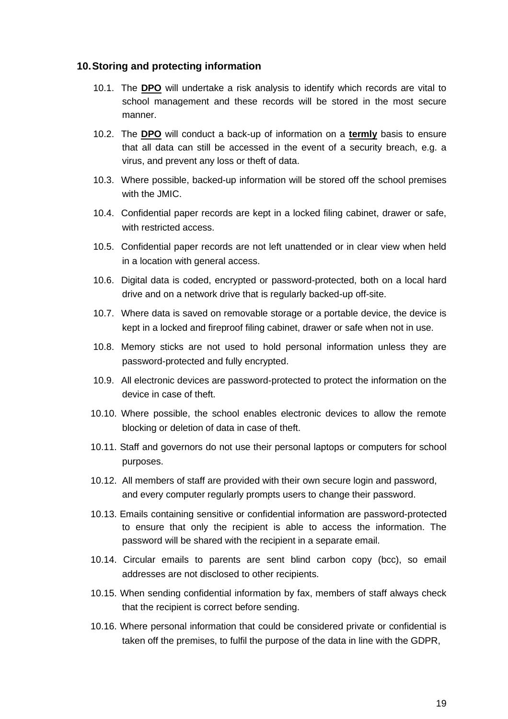#### **10.Storing and protecting information**

- 10.1. The **DPO** will undertake a risk analysis to identify which records are vital to school management and these records will be stored in the most secure manner.
- 10.2. The **DPO** will conduct a back-up of information on a **termly** basis to ensure that all data can still be accessed in the event of a security breach, e.g. a virus, and prevent any loss or theft of data.
- 10.3. Where possible, backed-up information will be stored off the school premises with the JMIC.
- 10.4. Confidential paper records are kept in a locked filing cabinet, drawer or safe, with restricted access.
- 10.5. Confidential paper records are not left unattended or in clear view when held in a location with general access.
- 10.6. Digital data is coded, encrypted or password-protected, both on a local hard drive and on a network drive that is regularly backed-up off-site.
- 10.7. Where data is saved on removable storage or a portable device, the device is kept in a locked and fireproof filing cabinet, drawer or safe when not in use.
- 10.8. Memory sticks are not used to hold personal information unless they are password-protected and fully encrypted.
- 10.9. All electronic devices are password-protected to protect the information on the device in case of theft.
- 10.10. Where possible, the school enables electronic devices to allow the remote blocking or deletion of data in case of theft.
- 10.11. Staff and governors do not use their personal laptops or computers for school purposes.
- 10.12. All members of staff are provided with their own secure login and password, and every computer regularly prompts users to change their password.
- 10.13. Emails containing sensitive or confidential information are password-protected to ensure that only the recipient is able to access the information. The password will be shared with the recipient in a separate email.
- 10.14. Circular emails to parents are sent blind carbon copy (bcc), so email addresses are not disclosed to other recipients.
- 10.15. When sending confidential information by fax, members of staff always check that the recipient is correct before sending.
- 10.16. Where personal information that could be considered private or confidential is taken off the premises, to fulfil the purpose of the data in line with the GDPR,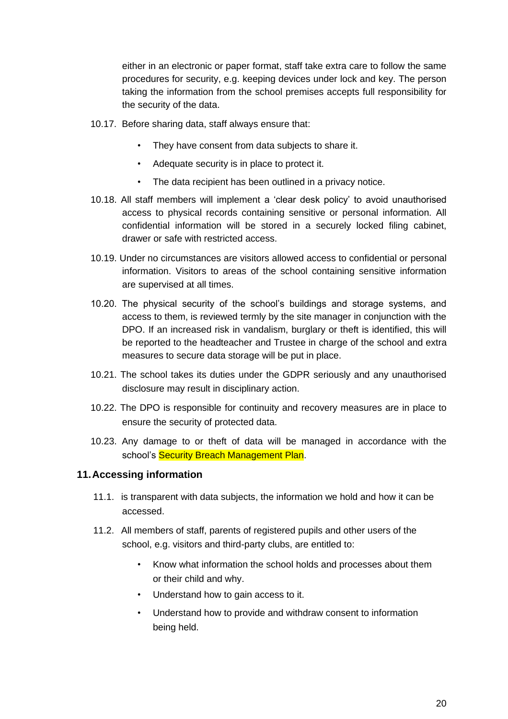either in an electronic or paper format, staff take extra care to follow the same procedures for security, e.g. keeping devices under lock and key. The person taking the information from the school premises accepts full responsibility for the security of the data.

- 10.17. Before sharing data, staff always ensure that:
	- They have consent from data subjects to share it.
	- Adequate security is in place to protect it.
	- The data recipient has been outlined in a privacy notice.
- 10.18. All staff members will implement a 'clear desk policy' to avoid unauthorised access to physical records containing sensitive or personal information. All confidential information will be stored in a securely locked filing cabinet, drawer or safe with restricted access.
- 10.19. Under no circumstances are visitors allowed access to confidential or personal information. Visitors to areas of the school containing sensitive information are supervised at all times.
- 10.20. The physical security of the school's buildings and storage systems, and access to them, is reviewed termly by the site manager in conjunction with the DPO. If an increased risk in vandalism, burglary or theft is identified, this will be reported to the headteacher and Trustee in charge of the school and extra measures to secure data storage will be put in place.
- 10.21. The school takes its duties under the GDPR seriously and any unauthorised disclosure may result in disciplinary action.
- 10.22. The DPO is responsible for continuity and recovery measures are in place to ensure the security of protected data.
- 10.23. Any damage to or theft of data will be managed in accordance with the school's Security Breach Management Plan.

#### **11.Accessing information**

- 11.1. is transparent with data subjects, the information we hold and how it can be accessed.
- 11.2. All members of staff, parents of registered pupils and other users of the school, e.g. visitors and third-party clubs, are entitled to:
	- Know what information the school holds and processes about them or their child and why.
	- Understand how to gain access to it.
	- Understand how to provide and withdraw consent to information being held.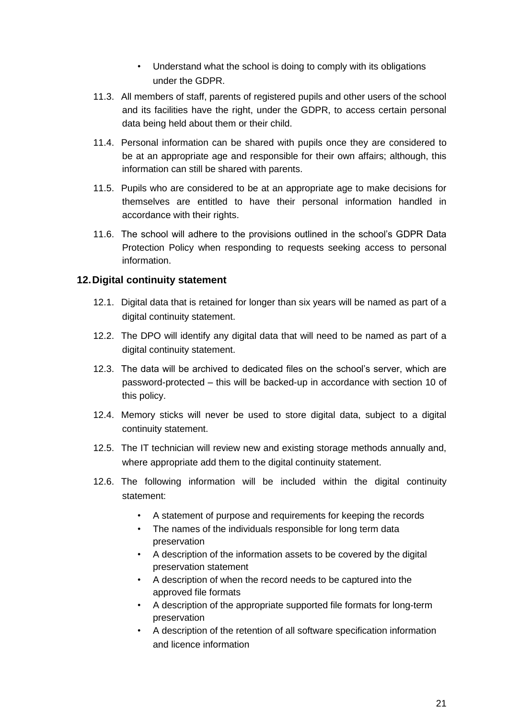- Understand what the school is doing to comply with its obligations under the GDPR.
- 11.3. All members of staff, parents of registered pupils and other users of the school and its facilities have the right, under the GDPR, to access certain personal data being held about them or their child.
- 11.4. Personal information can be shared with pupils once they are considered to be at an appropriate age and responsible for their own affairs; although, this information can still be shared with parents.
- 11.5. Pupils who are considered to be at an appropriate age to make decisions for themselves are entitled to have their personal information handled in accordance with their rights.
- 11.6. The school will adhere to the provisions outlined in the school's GDPR Data Protection Policy when responding to requests seeking access to personal information.

#### **12.Digital continuity statement**

- 12.1. Digital data that is retained for longer than six years will be named as part of a digital continuity statement.
- 12.2. The DPO will identify any digital data that will need to be named as part of a digital continuity statement.
- 12.3. The data will be archived to dedicated files on the school's server, which are password-protected – this will be backed-up in accordance with section 10 of this policy.
- 12.4. Memory sticks will never be used to store digital data, subject to a digital continuity statement.
- 12.5. The IT technician will review new and existing storage methods annually and, where appropriate add them to the digital continuity statement.
- 12.6. The following information will be included within the digital continuity statement:
	- A statement of purpose and requirements for keeping the records
	- The names of the individuals responsible for long term data preservation
	- A description of the information assets to be covered by the digital preservation statement
	- A description of when the record needs to be captured into the approved file formats
	- A description of the appropriate supported file formats for long-term preservation
	- A description of the retention of all software specification information and licence information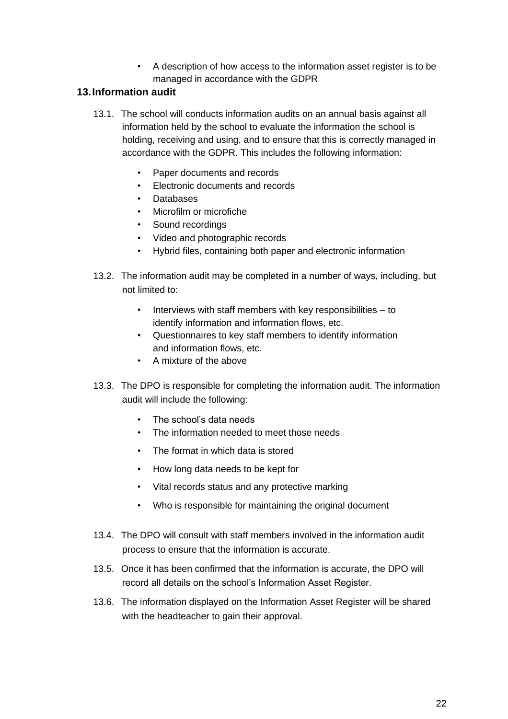• A description of how access to the information asset register is to be managed in accordance with the GDPR

#### **13.Information audit**

- 13.1. The school will conducts information audits on an annual basis against all information held by the school to evaluate the information the school is holding, receiving and using, and to ensure that this is correctly managed in accordance with the GDPR. This includes the following information:
	- Paper documents and records
	- Electronic documents and records
	- Databases
	- Microfilm or microfiche
	- Sound recordings
	- Video and photographic records
	- Hybrid files, containing both paper and electronic information
- 13.2. The information audit may be completed in a number of ways, including, but not limited to:
	- Interviews with staff members with key responsibilities  $-$  to identify information and information flows, etc.
	- Questionnaires to key staff members to identify information and information flows, etc.
	- A mixture of the above
- 13.3. The DPO is responsible for completing the information audit. The information audit will include the following:
	- The school's data needs
	- The information needed to meet those needs
	- The format in which data is stored
	- How long data needs to be kept for
	- Vital records status and any protective marking
	- Who is responsible for maintaining the original document
- 13.4. The DPO will consult with staff members involved in the information audit process to ensure that the information is accurate.
- 13.5. Once it has been confirmed that the information is accurate, the DPO will record all details on the school's Information Asset Register.
- 13.6. The information displayed on the Information Asset Register will be shared with the headteacher to gain their approval.